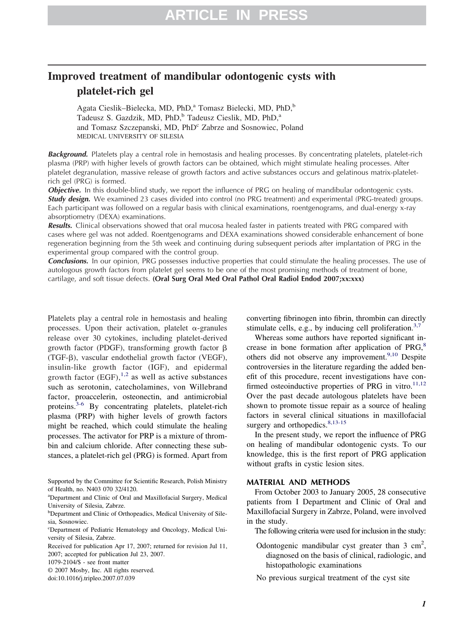# **Improved treatment of mandibular odontogenic cysts with platelet-rich gel**

Agata Cieslik–Bielecka, MD, PhD,<sup>a</sup> Tomasz Bielecki, MD, PhD,<sup>b</sup> Tadeusz S. Gazdzik, MD, PhD,<sup>b</sup> Tadeusz Cieslik, MD, PhD,<sup>a</sup> and Tomasz Szczepanski, MD, PhD<sup>c</sup> Zabrze and Sosnowiec, Poland MEDICAL UNIVERSITY OF SILESIA

**Background.** Platelets play a central role in hemostasis and healing processes. By concentrating platelets, platelet-rich plasma (PRP) with higher levels of growth factors can be obtained, which might stimulate healing processes. After platelet degranulation, massive release of growth factors and active substances occurs and gelatinous matrix-plateletrich gel (PRG) is formed.

*Objective.* In this double-blind study, we report the influence of PRG on healing of mandibular odontogenic cysts. **Study design.** We examined 23 cases divided into control (no PRG treatment) and experimental (PRG-treated) groups. Each participant was followed on a regular basis with clinical examinations, roentgenograms, and dual-energy x-ray absorptiometry (DEXA) examinations.

*Results.* Clinical observations showed that oral mucosa healed faster in patients treated with PRG compared with cases where gel was not added. Roentgenograms and DEXA examinations showed considerable enhancement of bone regeneration beginning from the 5th week and continuing during subsequent periods after implantation of PRG in the experimental group compared with the control group.

*Conclusions.* In our opinion, PRG possesses inductive properties that could stimulate the healing processes. The use of autologous growth factors from platelet gel seems to be one of the most promising methods of treatment of bone, cartilage, and soft tissue defects. **(Oral Surg Oral Med Oral Pathol Oral Radiol Endod 2007;xx:xxx)**

Platelets play a central role in hemostasis and healing processes. Upon their activation, platelet  $\alpha$ -granules release over 30 cytokines, including platelet-derived growth factor (PDGF), transforming growth factor  $\beta$ (TGF- $\beta$ ), vascular endothelial growth factor (VEGF), insulin-like growth factor (IGF), and epidermal growth factor  $(EGF)$ ,<sup>[1,2](#page-5-0)</sup> as well as active substances such as serotonin, catecholamines, von Willebrand factor, proaccelerin, osteonectin, and antimicrobial proteins. $3-6$  By concentrating platelets, platelet-rich plasma (PRP) with higher levels of growth factors might be reached, which could stimulate the healing processes. The activator for PRP is a mixture of thrombin and calcium chloride. After connecting these substances, a platelet-rich gel (PRG) is formed. Apart from

© 2007 Mosby, Inc. All rights reserved.

converting fibrinogen into fibrin, thrombin can directly stimulate cells, e.g., by inducing cell proliferation.<sup>[3,7](#page-5-0)</sup>

Whereas some authors have reported significant increase in bone formation after application of  $PRG<sub>0</sub><sup>8</sup>$  $PRG<sub>0</sub><sup>8</sup>$  $PRG<sub>0</sub><sup>8</sup>$ others did not observe any improvement.<sup>[9,10](#page-5-0)</sup> Despite controversies in the literature regarding the added benefit of this procedure, recent investigations have confirmed osteoinductive properties of PRG in vitro. $11,12$ Over the past decade autologous platelets have been shown to promote tissue repair as a source of healing factors in several clinical situations in maxillofacial surgery and orthopedics.<sup>[8,13-15](#page-5-0)</sup>

In the present study, we report the influence of PRG on healing of mandibular odontogenic cysts. To our knowledge, this is the first report of PRG application without grafts in cystic lesion sites.

## **MATERIAL AND METHODS**

From October 2003 to January 2005, 28 consecutive patients from I Department and Clinic of Oral and Maxillofacial Surgery in Zabrze, Poland, were involved in the study.

The following criteria were used for inclusion in the study:

Odontogenic mandibular cyst greater than  $3 \text{ cm}^2$ , diagnosed on the basis of clinical, radiologic, and histopathologic examinations

No previous surgical treatment of the cyst site

Supported by the Committee for Scientific Research, Polish Ministry of Health, no. N403 070 32/4120.

a Department and Clinic of Oral and Maxillofacial Surgery, Medical University of Silesia, Zabrze.

<sup>&</sup>lt;sup>b</sup>Department and Clinic of Orthopeadics, Medical University of Silesia, Sosnowiec.

c Department of Pediatric Hematology and Oncology, Medical University of Silesia, Zabrze.

Received for publication Apr 17, 2007; returned for revision Jul 11, 2007; accepted for publication Jul 23, 2007.

<sup>1079-2104/\$ -</sup> see front matter

doi:10.1016/j.tripleo.2007.07.039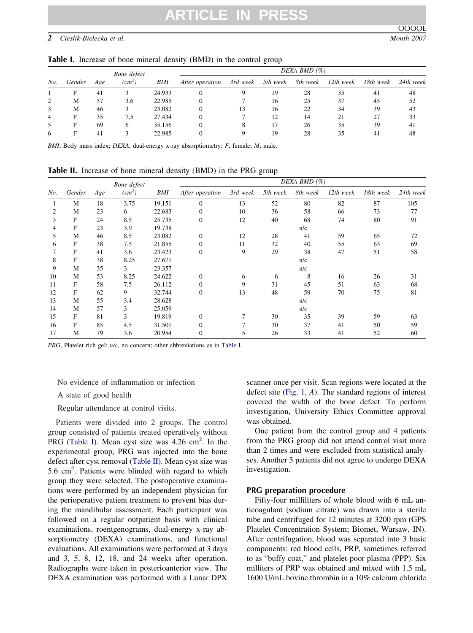# **ARTICLE IN PRESS**

# <span id="page-1-0"></span>*2 Cieslik-Bielecka et al. Month 2007*

OOOOE

|  |  |  |  |  |  |  | Table I. Increase of bone mineral density (BMD) in the control group |  |
|--|--|--|--|--|--|--|----------------------------------------------------------------------|--|
|--|--|--|--|--|--|--|----------------------------------------------------------------------|--|

|                | Bone defect |     |                    |        | DEXA BMD $(\% )$ |          |          |          |             |           |           |  |  |
|----------------|-------------|-----|--------------------|--------|------------------|----------|----------|----------|-------------|-----------|-----------|--|--|
| No.            | Gender      | Age | (cm <sup>2</sup> ) | BMI    | After operation  | 3rd week | 5th week | 8th week | $12th$ week | 18th week | 24th week |  |  |
|                | Е           | 41  |                    | 24.933 |                  |          | 19       | 28       | 35          | 41        | 48        |  |  |
| 2              | М           | 57  | 3.6                | 22.985 | $\Omega$         |          | 16       | 25       | 37          | 45        | 52        |  |  |
| 3              | М           | 46  |                    | 23.082 | $\Omega$         | 13       | 16       | 22       | 34          | 39        | 43        |  |  |
| $\overline{4}$ | F           | 35  | 7.5                | 27.434 | $\Omega$         |          | 12       | 14       | 21          |           | 33        |  |  |
| 5              | F           | 69  | 6                  | 35.156 | $\Omega$         |          |          | 26       | 35          | 39        | 41        |  |  |
| 6              | Е           | 41  |                    | 22.985 |                  |          | 19       | 28       | 35          | 41        | 48        |  |  |

*BMI*, Body mass index; *DEXA*, dual-energy x-ray absorptiometry; *F*, female; *M*, male.

**Table II.** Increase of bone mineral density (BMD) in the PRG group

|     |        |     | Bone defect        |        | DEXA BMD $(\%)$  |          |          |          |           |           |           |  |
|-----|--------|-----|--------------------|--------|------------------|----------|----------|----------|-----------|-----------|-----------|--|
| No. | Gender | Age | (cm <sup>2</sup> ) | BMI    | After operation  | 3rd week | 5th week | 8th week | 12th week | 18th week | 24th week |  |
|     | M      | 18  | 3.75               | 19.151 | $\mathbf{0}$     | 13       | 52       | 80       | 82        | 87        | 105       |  |
| 2   | M      | 23  | 6                  | 22.683 | $\mathbf{0}$     | 10       | 36       | 58       | 66        | 73        | 77        |  |
| 3   | F      | 24  | 8.5                | 25.735 | $\boldsymbol{0}$ | 12       | 40       | 68       | 74        | 80        | 91        |  |
| 4   | F      | 23  | 3.9                | 19.738 |                  |          |          | n/c      |           |           |           |  |
| 5   | M      | 46  | 8.5                | 23.082 | $\boldsymbol{0}$ | 12       | 28       | 41       | 59        | 65        | 72        |  |
| 6   | F      | 38  | 7.5                | 21.855 | $\Omega$         | 11       | 32       | 40       | 55        | 63        | 69        |  |
|     | F      | 41  | 3.6                | 23.423 | $\mathbf{0}$     | 9        | 29       | 38       | 47        | 51        | 58        |  |
| 8   | F      | 38  | 8.25               | 27.671 |                  |          |          | n/c      |           |           |           |  |
| 9   | M      | 35  | 3                  | 23.357 |                  |          |          | n/c      |           |           |           |  |
| 10  | M      | 53  | 8.25               | 24.622 | $\mathbf{0}$     | 6        | 6        | 8        | 16        | 26        | 31        |  |
| 11  | F      | 58  | 7.5                | 26.112 | $\mathbf{0}$     | 9        | 31       | 45       | 51        | 63        | 68        |  |
| 12  | F      | 62  | 9                  | 32.744 | $\boldsymbol{0}$ | 13       | 48       | 59       | 70        | 75        | 81        |  |
| 13  | M      | 55  | 3.4                | 28.628 |                  |          |          | n/c      |           |           |           |  |
| 14  | M      | 57  | 3                  | 25.059 |                  |          |          | n/c      |           |           |           |  |
| 15  | F      | 81  | 3                  | 19.819 | $\mathbf{0}$     | 7        | 30       | 35       | 39        | 59        | 63        |  |
| 16  | F      | 85  | 4.5                | 31.501 | $\Omega$         | 7        | 30       | 37       | 41        | 50        | 59        |  |
| 17  | M      | 79  | 3.6                | 20.954 | $\overline{0}$   | 5        | 26       | 33       | 41        | 52        | 60        |  |

*PRG*, Platelet-rich gel; *n/c*, no concern; other abbreviations as in Table I.

No evidence of inflammation or infection

A state of good health

Regular attendance at control visits.

Patients were divided into 2 groups. The control group consisted of patients treated operatively without PRG (Table I). Mean cyst size was 4.26 cm<sup>2</sup>. In the experimental group, PRG was injected into the bone defect after cyst removal (Table II). Mean cyst size was 5.6 cm<sup>2</sup>. Patients were blinded with regard to which group they were selected. The postoperative examinations were performed by an independent physician for the perioperative patient treatment to prevent bias during the mandibular assessment. Each participant was followed on a regular outpatient basis with clinical examinations, roentgenograms, dual-energy x-ray absorptiometry (DEXA) examinations, and functional evaluations. All examinations were performed at 3 days and 3, 5, 8, 12, 18, and 24 weeks after operation. Radiographs were taken in posterioanterior view. The DEXA examination was performed with a Lunar DPX scanner once per visit. Scan regions were located at the defect site [\(Fig. 1,](#page-2-0) *A*). The standard regions of interest covered the width of the bone defect. To perform investigation, University Ethics Committee approval was obtained.

One patient from the control group and 4 patients from the PRG group did not attend control visit more than 2 times and were excluded from statistical analyses. Another 5 patients did not agree to undergo DEXA investigation.

### **PRG preparation procedure**

Fifty-four milliliters of whole blood with 6 mL anticoagulant (sodium citrate) was drawn into a sterile tube and centrifuged for 12 minutes at 3200 rpm (GPS Platelet Concentration System; Biomet, Warsaw, IN). After centrifugation, blood was separated into 3 basic components: red blood cells, PRP, sometimes referred to as "buffy coat," and platelet-poor plasma (PPP). Six milliters of PRP was obtained and mixed with 1.5 mL 1600 U/mL bovine thrombin in a 10% calcium chloride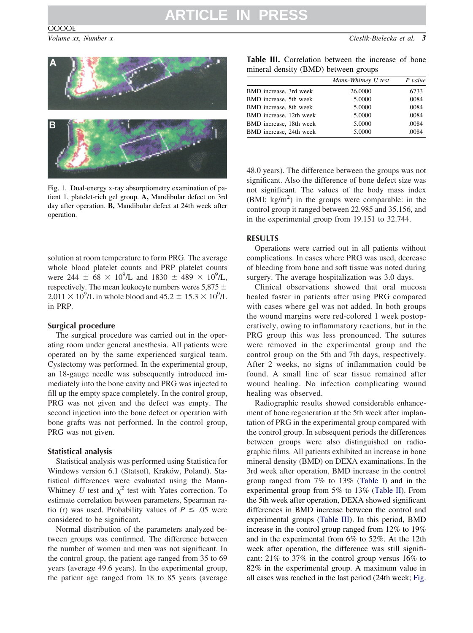<span id="page-2-0"></span>



Fig. 1. Dual-energy x-ray absorptiometry examination of patient 1, platelet-rich gel group. **A,** Mandibular defect on 3rd day after operation. **B,** Mandibular defect at 24th week after operation.

solution at room temperature to form PRG. The average whole blood platelet counts and PRP platelet counts were 244  $\pm$  68  $\times$  10<sup>9</sup>/L and 1830  $\pm$  489  $\times$  10<sup>9</sup>/L, respectively. The mean leukocyte numbers weres  $5.875 \pm$  $2,011 \times 10^9$ /L in whole blood and  $45.2 \pm 15.3 \times 10^9$ /L in PRP.

#### **Surgical procedure**

The surgical procedure was carried out in the operating room under general anesthesia. All patients were operated on by the same experienced surgical team. Cystectomy was performed. In the experimental group, an 18-gauge needle was subsequently introduced immediately into the bone cavity and PRG was injected to fill up the empty space completely. In the control group, PRG was not given and the defect was empty. The second injection into the bone defect or operation with bone grafts was not performed. In the control group, PRG was not given.

## **Statistical analysis**

Statistical analysis was performed using Statistica for Windows version 6.1 (Statsoft, Kraków, Poland). Statistical differences were evaluated using the Mann-Whitney *U* test and  $\chi^2$  test with Yates correction. To estimate correlation between parameters, Spearman ratio (r) was used. Probability values of  $P \leq .05$  were considered to be significant.

Normal distribution of the parameters analyzed between groups was confirmed. The difference between the number of women and men was not significant. In the control group, the patient age ranged from 35 to 69 years (average 49.6 years). In the experimental group, the patient age ranged from 18 to 85 years (average

| Table III. Correlation between the increase of bone |  |  |  |
|-----------------------------------------------------|--|--|--|
| mineral density (BMD) between groups                |  |  |  |

|                         | Mann-Whitney U test | $P$ value |
|-------------------------|---------------------|-----------|
| BMD increase, 3rd week  | 26.0000             | .6733     |
| BMD increase, 5th week  | 5.0000              | .0084     |
| BMD increase, 8th week  | 5.0000              | .0084     |
| BMD increase, 12th week | 5.0000              | .0084     |
| BMD increase, 18th week | 5.0000              | .0084     |
| BMD increase, 24th week | 5.0000              | .0084     |

48.0 years). The difference between the groups was not significant. Also the difference of bone defect size was not significant. The values of the body mass index  $(BMI; kg/m<sup>2</sup>)$  in the groups were comparable: in the control group it ranged between 22.985 and 35.156, and in the experimental group from 19.151 to 32.744.

# **RESULTS**

Operations were carried out in all patients without complications. In cases where PRG was used, decrease of bleeding from bone and soft tissue was noted during surgery. The average hospitalization was 3.0 days.

Clinical observations showed that oral mucosa healed faster in patients after using PRG compared with cases where gel was not added. In both groups the wound margins were red-colored 1 week postoperatively, owing to inflammatory reactions, but in the PRG group this was less pronounced. The sutures were removed in the experimental group and the control group on the 5th and 7th days, respectively. After 2 weeks, no signs of inflammation could be found. A small line of scar tissue remained after wound healing. No infection complicating wound healing was observed.

Radiographic results showed considerable enhancement of bone regeneration at the 5th week after implantation of PRG in the experimental group compared with the control group. In subsequent periods the differences between groups were also distinguished on radiographic films. All patients exhibited an increase in bone mineral density (BMD) on DEXA examinations. In the 3rd week after operation, BMD increase in the control group ranged from 7% to 13% [\(Table I\)](#page-1-0) and in the experimental group from 5% to 13% [\(Table II\)](#page-1-0). From the 5th week after operation, DEXA showed significant differences in BMD increase between the control and experimental groups (Table III). In this period, BMD increase in the control group ranged from 12% to 19% and in the experimental from 6% to 52%. At the 12th week after operation, the difference was still significant: 21% to 37% in the control group versus 16% to 82% in the experimental group. A maximum value in all cases was reached in the last period (24th week; Fig.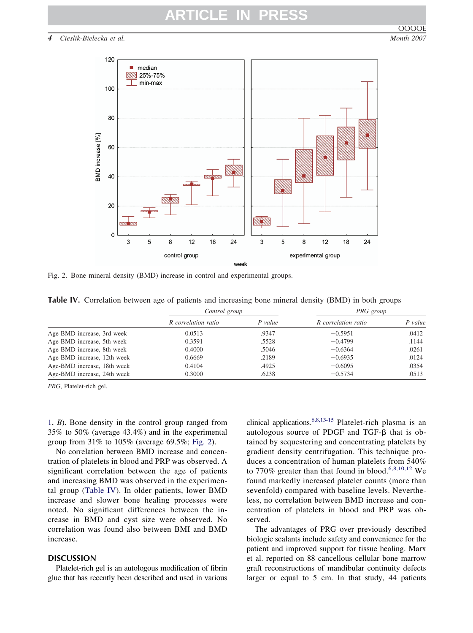# **ARTICLE IN**

*4 Cieslik-Bielecka et al. Month 2007*



Fig. 2. Bone mineral density (BMD) increase in control and experimental groups.

|  |  | Table IV. Correlation between age of patients and increasing bone mineral density (BMD) in both groups |  |  |  |  |  |  |  |  |  |  |  |  |  |
|--|--|--------------------------------------------------------------------------------------------------------|--|--|--|--|--|--|--|--|--|--|--|--|--|
|--|--|--------------------------------------------------------------------------------------------------------|--|--|--|--|--|--|--|--|--|--|--|--|--|

|                             | Control group       |           |                     | PRG group |
|-----------------------------|---------------------|-----------|---------------------|-----------|
|                             | R correlation ratio | $P$ value | R correlation ratio | $P$ value |
| Age-BMD increase, 3rd week  | 0.0513              | .9347     | $-0.5951$           | .0412     |
| Age-BMD increase, 5th week  | 0.3591              | .5528     | $-0.4799$           | .1144     |
| Age-BMD increase, 8th week  | 0.4000              | .5046     | $-0.6364$           | .0261     |
| Age-BMD increase, 12th week | 0.6669              | .2189     | $-0.6935$           | .0124     |
| Age-BMD increase, 18th week | 0.4104              | .4925     | $-0.6095$           | .0354     |
| Age-BMD increase, 24th week | 0.3000              | .6238     | $-0.5734$           | .0513     |

*PRG*, Platelet-rich gel.

[1,](#page-2-0) *B*). Bone density in the control group ranged from 35% to 50% (average 43.4%) and in the experimental group from 31% to 105% (average 69.5%; Fig. 2).

No correlation between BMD increase and concentration of platelets in blood and PRP was observed. A significant correlation between the age of patients and increasing BMD was observed in the experimental group (Table IV). In older patients, lower BMD increase and slower bone healing processes were noted. No significant differences between the increase in BMD and cyst size were observed. No correlation was found also between BMI and BMD increase.

# **DISCUSSION**

Platelet-rich gel is an autologous modification of fibrin glue that has recently been described and used in various clinical applications[.6,8,13-15](#page-5-0) Platelet-rich plasma is an autologous source of PDGF and  $TGF- $\beta$  that is ob$ tained by sequestering and concentrating platelets by gradient density centrifugation. This technique produces a concentration of human platelets from 540% to 770% greater than that found in blood.<sup>[6,8,10,12](#page-5-0)</sup> We found markedly increased platelet counts (more than sevenfold) compared with baseline levels. Nevertheless, no correlation between BMD increase and concentration of platelets in blood and PRP was observed.

The advantages of PRG over previously described biologic sealants include safety and convenience for the patient and improved support for tissue healing. Marx et al. reported on 88 cancellous cellular bone marrow graft reconstructions of mandibular continuity defects larger or equal to 5 cm. In that study, 44 patients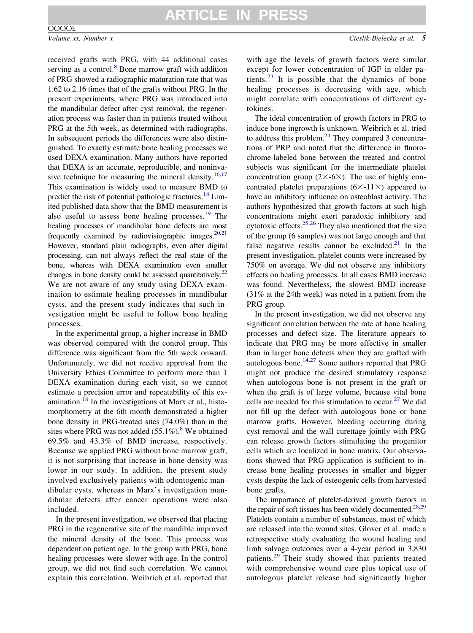## **OOOOE**

*Volume xx, Number x Cieslik-Bielecka et al. 5*

received grafts with PRG, with 44 additional cases serving as a control.<sup>[8](#page-5-0)</sup> Bone marrow graft with addition of PRG showed a radiographic maturation rate that was 1.62 to 2.16 times that of the grafts without PRG. In the present experiments, where PRG was introduced into the mandibular defect after cyst removal, the regeneration process was faster than in patients treated without PRG at the 5th week, as determined with radiographs. In subsequent periods the differences were also distinguished. To exactly estimate bone healing processes we used DEXA examination. Many authors have reported that DEXA is an accurate, reproducible, and noninva-sive technique for measuring the mineral density.<sup>[16,17](#page-5-0)</sup> This examination is widely used to measure BMD to predict the risk of potential pathologic fractures.<sup>[18](#page-5-0)</sup> Limited published data show that the BMD measurement is also useful to assess bone healing processes. $19$  The healing processes of mandibular bone defects are most frequently examined by radiovisiographic images.  $20,21$ However, standard plain radiographs, even after digital processing, can not always reflect the real state of the bone, whereas with DEXA examination even smaller changes in bone density could be assessed quantitatively.<sup>22</sup> We are not aware of any study using DEXA examination to estimate healing processes in mandibular cysts, and the present study indicates that such investigation might be useful to follow bone healing processes.

In the experimental group, a higher increase in BMD was observed compared with the control group. This difference was significant from the 5th week onward. Unfortunately, we did not receive approval from the University Ethics Committee to perform more than 1 DEXA examination during each visit, so we cannot estimate a precision error and repeatability of this examination.[18](#page-5-0) In the investigations of Marx et al., histomorphometry at the 6th month demonstrated a higher bone density in PRG-treated sites (74.0%) than in the sites where PRG was not added  $(55.1\%)$ .<sup>[8](#page-5-0)</sup> We obtained 69.5% and 43.3% of BMD increase, respectively. Because we applied PRG without bone marrow graft, it is not surprising that increase in bone density was lower in our study. In addition, the present study involved exclusively patients with odontogenic mandibular cysts, whereas in Marx's investigation mandibular defects after cancer operations were also included.

In the present investigation, we observed that placing PRG in the regenerative site of the mandible improved the mineral density of the bone. This process was dependent on patient age. In the group with PRG, bone healing processes were slower with age. In the control group, we did not find such correlation. We cannot explain this correlation. Weibrich et al. reported that

with age the levels of growth factors were similar except for lower concentration of IGF in older pa-tients.<sup>[23](#page-5-0)</sup> It is possible that the dynamics of bone healing processes is decreasing with age, which might correlate with concentrations of different cytokines.

The ideal concentration of growth factors in PRG to induce bone ingrowth is unknown. Weibrich et al. tried to address this problem. $24$  They compared 3 concentrations of PRP and noted that the difference in fluorochrome-labeled bone between the treated and control subjects was significant for the intermediate platelet concentration group ( $2\times$ -6 $\times$ ). The use of highly concentrated platelet preparations  $(6 \times -11) \times$  appeared to have an inhibitory influence on osteoblast activity. The authors hypothesized that growth factors at such high concentrations might exert paradoxic inhibitory and cytotoxic effects.<sup>[25,26](#page-5-0)</sup> They also mentioned that the size of the group (6 samples) was not large enough and that false negative results cannot be excluded.<sup>[21](#page-5-0)</sup> In the present investigation, platelet counts were increased by 750% on average. We did not observe any inhibitory effects on healing processes. In all cases BMD increase was found. Nevertheless, the slowest BMD increase (31% at the 24th week) was noted in a patient from the PRG group.

In the present investigation, we did not observe any significant correlation between the rate of bone healing processes and defect size. The literature appears to indicate that PRG may be more effective in smaller than in larger bone defects when they are grafted with autologous bone.[14,27](#page-5-0) Some authors reported that PRG might not produce the desired stimulatory response when autologous bone is not present in the graft or when the graft is of large volume, because vital bone cells are needed for this stimulation to occur.<sup>[27](#page-6-0)</sup> We did not fill up the defect with autologous bone or bone marrow grafts. However, bleeding occurring during cyst removal and the wall curettage jointly with PRG can release growth factors stimulating the progenitor cells which are localized in bone matrix. Our observations showed that PRG application is sufficient to increase bone healing processes in smaller and bigger cysts despite the lack of osteogenic cells from harvested bone grafts.

The importance of platelet-derived growth factors in the repair of soft tissues has been widely documented.<sup>28,29</sup> Platelets contain a number of substances, most of which are released into the wound sites. Glover et al. made a retrospective study evaluating the wound healing and limb salvage outcomes over a 4-year period in 3,830 patients.[29](#page-6-0) Their study showed that patients treated with comprehensive wound care plus topical use of autologous platelet release had significantly higher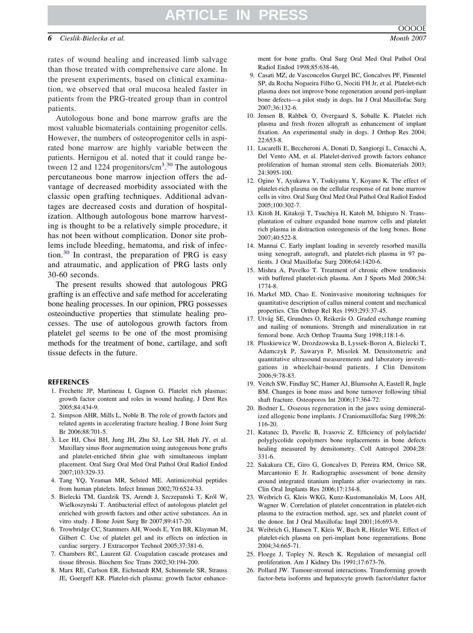# **ARTICLE IN PRESS**

## <span id="page-5-0"></span>*6 Cieslik-Bielecka et al. Month 2007*

rates of wound healing and increased limb salvage than those treated with comprehensive care alone. In the present experiments, based on clinical examination, we observed that oral mucosa healed faster in patients from the PRG-treated group than in control patients.

Autologous bone and bone marrow grafts are the most valuable biomaterials containing progenitor cells. However, the numbers of osteoprogenitor cells in aspirated bone marrow are highly variable between the patients. Hernigou et al. noted that it could range be-tween 12 and 1224 progenitors/cm<sup>3</sup>.<sup>[30](#page-6-0)</sup> The autologous percutaneous bone marrow injection offers the advantage of decreased morbidity associated with the classic open grafting techniques. Additional advantages are decreased costs and duration of hospitalization. Although autologous bone marrow harvesting is thought to be a relatively simple procedure, it has not been without complication. Donor site problems include bleeding, hematoma, and risk of infection.[30](#page-6-0) In contrast, the preparation of PRG is easy and atraumatic, and application of PRG lasts only 30-60 seconds.

The present results showed that autologous PRG grafting is an effective and safe method for accelerating bone healing processes. In our opinion, PRG possesses osteoinductive properties that stimulate healing processes. The use of autologous growth factors from platelet gel seems to be one of the most promising methods for the treatment of bone, cartilage, and soft tissue defects in the future.

#### **REFERENCES**

- 1. Frechette JP, Martineau I, Gagnon G. Platelet rich plasmas: growth factor content and roles in wound healing. J Dent Res 2005;84:434-9.
- 2. Simpson AHR, Mills L, Noble B. The role of growth factors and related agents in accelerating fracture healing. J Bone Joint Surg Br 2006;88:701-5.
- 3. Lee HJ, Choi BH, Jung JH, Zhu SJ, Lee SH, Huh JY, et al. Maxillary sinus floor augmentation using autogenous bone grafts and platelet-enriched fibrin glue with simultaneous implant placement. Oral Surg Oral Med Oral Pathol Oral Radiol Endod 2007;103:329-33.
- 4. Tang YQ, Yeaman MR, Selsted ME. Antimicrobial peptides from human platelets. Infect Immun 2002;70:6524-33.
- 5. Bielecki TM, Gazdzik TS, Arendt J, Szczepanski T, Król W, Wielkoszynski T. Antibacterial effect of autologous platelet gel enriched with growth factors and other active substances. An in vitro study. J Bone Joint Surg Br 2007;89:417-20.
- 6. Trowbridge CC, Stammers AH, Woods E, Yen BR, Klayman M, Gilbert C. Use of platelet gel and its effects on infection in cardiac surgery. J Extracorpor Technol 2005;37:381-6.
- 7. Chambers RC, Laurent GJ. Coagulation cascade proteases and tissue fibrosis. Biochem Soc Trans 2002;30:194-200.
- 8. Marx RE, Carlson ER, Eichstaedt RM, Schimmele SR, Strauss JE, Goergeff KR. Platelet-rich plasma: growth factor enhance-

ment for bone grafts. Oral Surg Oral Med Oral Pathol Oral Radiol Endod 1998;85:638-46.

- 9. Casati MZ, de Vasconcelos Gurgel BC, Goncalves PF, Pimentel SP, da Rocha Nogueira Filho G, Nociti FH Jr, et al. Platelet-rich plasma does not improve bone regeneration around peri-implant bone defects—a pilot study in dogs. Int J Oral Maxillofac Surg 2007;36:132-6.
- 10. Jensen B, Rahbek O, Overgaard S, Soballe K. Platelet rich plasma and fresh frozen allograft as enhancement of implant fixation. An experimental study in dogs. J Orthop Res 2004; 22:653-8.
- 11. Lucarelli E, Beccheroni A, Donati D, Sangiorgi L, Cenacchi A, Del Vento AM, et al. Platelet-derived growth factors enhance proliferation of human stromal stem cells. Biomaterials 2003; 24:3095-100.
- 12. Ogino Y, Ayukawa Y, Tsukiyama Y, Koyano K. The effect of platelet-rich plasma on the cellular response of rat bone marrow cells in vitro. Oral Surg Oral Med Oral Pathol Oral Radiol Endod 2005;100:302-7.
- 13. Kitoh H, Kitakoji T, Tsuchiya H, Katoh M, Ishiguro N. Transplantation of culture expanded bone marrow cells and platelet rich plasma in distraction osteogenesis of the long bones. Bone 2007;40:522-8.
- 14. Mannai C. Early implant loading in severely resorbed maxilla using xenograft, autograft, and platelet-rich plasma in 97 patients. J Oral Maxillofac Surg 2006;64:1420-6.
- 15. Mishra A, Pavelko T. Treatment of chronic elbow tendinosis with buffered platelet-rich plasma. Am J Sports Med 2006;34: 1774-8.
- 16. Markel MD, Chao E. Noninvasive monitoring techniques for quantitative description of callus mineral content and mechanical properties. Clin Orthop Rel Res 1993;293:37-45.
- 17. Utvåg SE, Grundnes O, Reikerås O. Graded exchange reaming and nailing of nonunions. Strength and mineralization in rat femoral bone. Arch Orthop Trauma Surg 1998;118:1-6.
- 18. Pluskiewicz W, Drozdzowska B, Lyssek-Boron A, Bielecki T, Adamczyk P, Sawaryn P, Misolek M. Densitometric and quantitative ultrasound measurements and laboratory investigations in wheelchair-bound patients. J Clin Densitom 2006;9:78-83.
- 19. Veitch SW, Findlay SC, Hamer AJ, Blumsohn A, Eastell R, Ingle BM. Changes in bone mass and bone turnover following tibial shaft fracture. Osteoporos Int 2006;17:364-72.
- 20. Bodner L. Osseous regeneration in the jaws using demineralized allogenic bone implants. J Craniomaxillofac Surg 1998;26: 116-20.
- 21. Katanec D, Pavelic B, Ivasovic Z. Efficiency of polylactide/ polyglycolide copolymers bone replacements in bone defects healing measured by densitometry. Coll Antropol 2004;28: 331-6.
- 22. Sakakura CE, Giro G, Goncalves D, Pereira RM, Orrico SR, Marcantonio E Jr. Radiographic assessment of bone density around integrated titanium implants after ovariectomy in rats. Clin Oral Implants Res 2006;17:134-8.
- 23. Weibrich G, Kleis WKG, Kunz-Kustomanolakis M, Loos AH, Wagner W. Correlation of platelet concentration in platelet-rich plasma to the extraction method, age, sex and platelet count of the donor. Int J Oral Maxillofac Impl 2001;16:693-9.
- 24. Weibrich G, Hansen T, Kleis W, Buch R, Hitzler WE. Effect of platelet-rich plasma on peri-implant bone regenerations. Bone 2004;34:665-71.
- 25. Floege J, Topley N, Resch K. Regulation of mesangial cell proliferation. Am J Kidney Dis 1991;17:673-76.
- 26. Pollard JW. Tumour-stromal interactions. Transforming growth factor-beta isoforms and hepatocyte growth factor/slatter factor